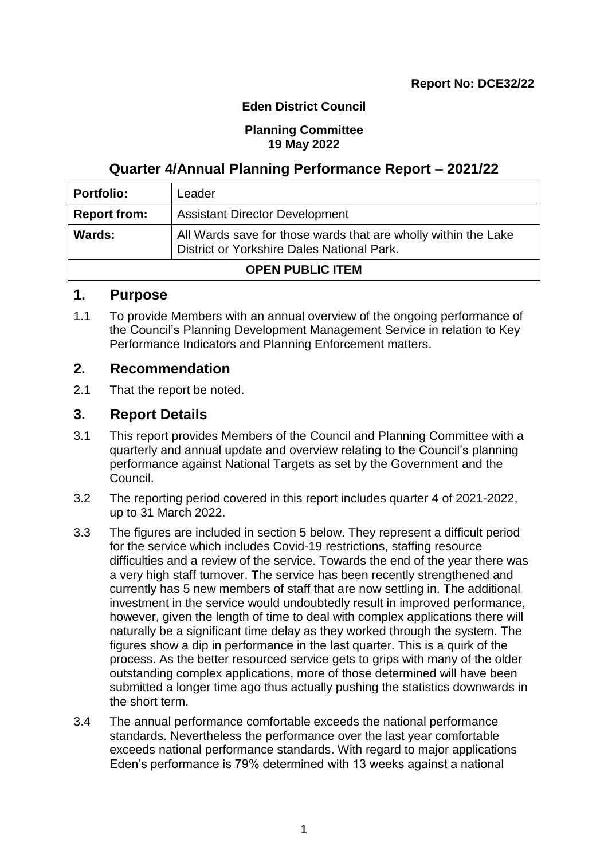## **Eden District Council**

#### **Planning Committee 19 May 2022**

## **Quarter 4/Annual Planning Performance Report – 2021/22**

| <b>Portfolio:</b>                                                                                                      | Leader                                |  |  |
|------------------------------------------------------------------------------------------------------------------------|---------------------------------------|--|--|
| <b>Report from:</b>                                                                                                    | <b>Assistant Director Development</b> |  |  |
| Wards:<br>All Wards save for those wards that are wholly within the Lake<br>District or Yorkshire Dales National Park. |                                       |  |  |
| <b>OPEN PUBLIC ITEM</b>                                                                                                |                                       |  |  |

## **1. Purpose**

1.1 To provide Members with an annual overview of the ongoing performance of the Council's Planning Development Management Service in relation to Key Performance Indicators and Planning Enforcement matters.

## **2. Recommendation**

2.1 That the report be noted.

## **3. Report Details**

- 3.1 This report provides Members of the Council and Planning Committee with a quarterly and annual update and overview relating to the Council's planning performance against National Targets as set by the Government and the Council.
- 3.2 The reporting period covered in this report includes quarter 4 of 2021-2022, up to 31 March 2022.
- 3.3 The figures are included in section 5 below. They represent a difficult period for the service which includes Covid-19 restrictions, staffing resource difficulties and a review of the service. Towards the end of the year there was a very high staff turnover. The service has been recently strengthened and currently has 5 new members of staff that are now settling in. The additional investment in the service would undoubtedly result in improved performance, however, given the length of time to deal with complex applications there will naturally be a significant time delay as they worked through the system. The figures show a dip in performance in the last quarter. This is a quirk of the process. As the better resourced service gets to grips with many of the older outstanding complex applications, more of those determined will have been submitted a longer time ago thus actually pushing the statistics downwards in the short term.
- 3.4 The annual performance comfortable exceeds the national performance standards. Nevertheless the performance over the last year comfortable exceeds national performance standards. With regard to major applications Eden's performance is 79% determined with 13 weeks against a national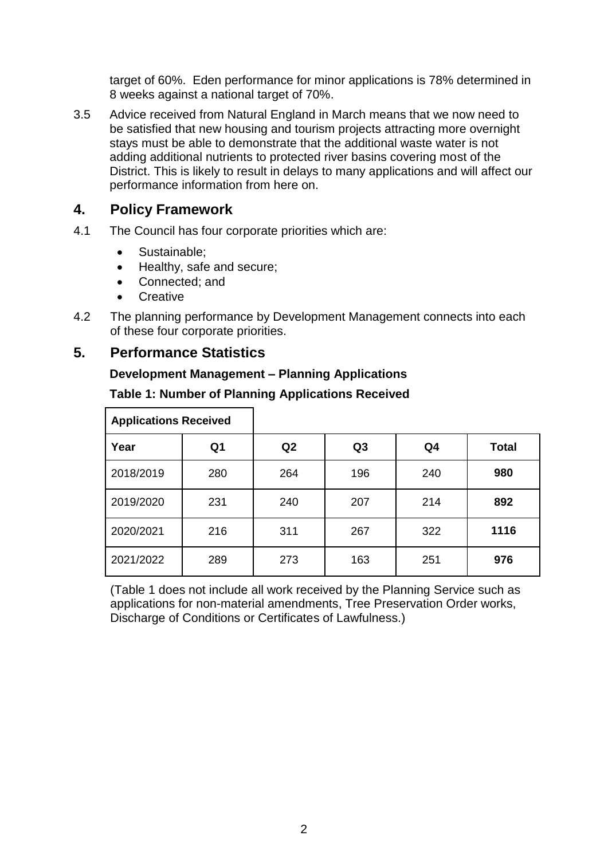target of 60%. Eden performance for minor applications is 78% determined in 8 weeks against a national target of 70%.

3.5 Advice received from Natural England in March means that we now need to be satisfied that new housing and tourism projects attracting more overnight stays must be able to demonstrate that the additional waste water is not adding additional nutrients to protected river basins covering most of the District. This is likely to result in delays to many applications and will affect our performance information from here on.

## **4. Policy Framework**

- 4.1 The Council has four corporate priorities which are:
	- Sustainable:
	- Healthy, safe and secure;
	- Connected; and
	- **Creative**
- 4.2 The planning performance by Development Management connects into each of these four corporate priorities.

## **5. Performance Statistics**

## **Development Management – Planning Applications**

| <b>Applications Received</b> |     |     |                |     |              |
|------------------------------|-----|-----|----------------|-----|--------------|
| Year                         | Q1  | Q2  | Q <sub>3</sub> | Q4  | <b>Total</b> |
| 2018/2019                    | 280 | 264 | 196            | 240 | 980          |
| 2019/2020                    | 231 | 240 | 207            | 214 | 892          |
| 2020/2021                    | 216 | 311 | 267            | 322 | 1116         |
| 2021/2022                    | 289 | 273 | 163            | 251 | 976          |

## **Table 1: Number of Planning Applications Received**

(Table 1 does not include all work received by the Planning Service such as applications for non-material amendments, Tree Preservation Order works, Discharge of Conditions or Certificates of Lawfulness.)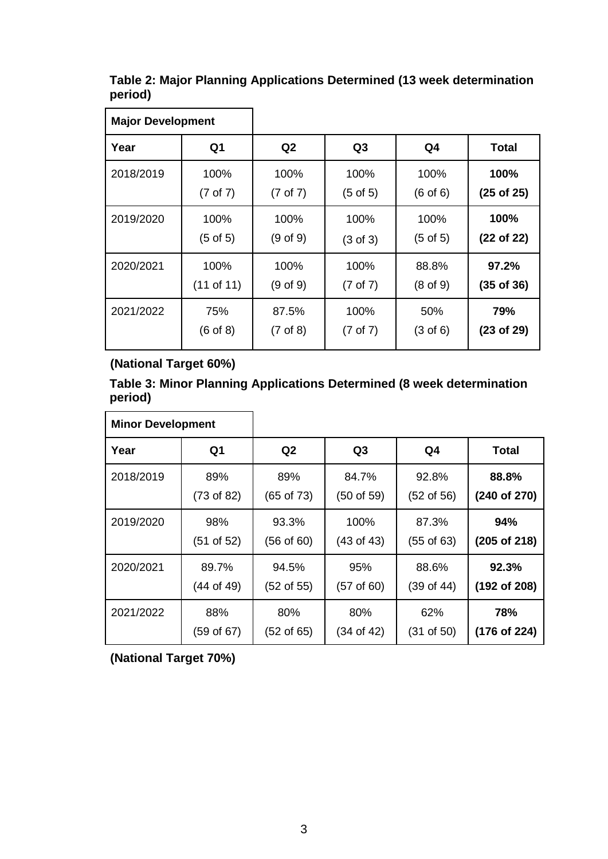**Table 2: Major Planning Applications Determined (13 week determination period)**

 $\overline{\phantom{0}}$ 

| <b>Major Development</b> |                     |                     |                     |                     |                |
|--------------------------|---------------------|---------------------|---------------------|---------------------|----------------|
| Year                     | Q <sub>1</sub>      | Q2                  | Q3                  | Q <sub>4</sub>      | Total          |
| 2018/2019                | 100%                | 100%                | 100%                | 100%                | 100%           |
|                          | $(7 \text{ of } 7)$ | $(7 \text{ of } 7)$ | $(5 \text{ of } 5)$ | $(6 \text{ of } 6)$ | $(25$ of $25)$ |
| 2019/2020                | 100%                | 100%                | 100%                | 100%                | 100%           |
|                          | (5 of 5)            | $(9$ of $9)$        | $(3 \text{ of } 3)$ | $(5 \text{ of } 5)$ | (22 of 22)     |
| 2020/2021                | 100%                | 100%                | 100%                | 88.8%               | 97.2%          |
|                          | (11 of 11)          | $(9$ of $9)$        | $(7 \text{ of } 7)$ | $(8 \text{ of } 9)$ | $(35$ of $36)$ |
| 2021/2022                | 75%                 | 87.5%               | 100%                | 50%                 | 79%            |
|                          | $(6 \text{ of } 8)$ | $(7 \text{ of } 8)$ | $(7 \text{ of } 7)$ | $(3 \text{ of } 6)$ | (23 of 29)     |

## **(National Target 60%)**

**Table 3: Minor Planning Applications Determined (8 week determination period)**

| <b>Minor Development</b> |                       |                       |                |                       |              |
|--------------------------|-----------------------|-----------------------|----------------|-----------------------|--------------|
| Year                     | Q <sub>1</sub>        | Q2                    | Q <sub>3</sub> | Q4                    | <b>Total</b> |
| 2018/2019                | 89%                   | 89%                   | 84.7%          | 92.8%                 | 88.8%        |
|                          | $(73 \text{ of } 82)$ | $(65 \text{ of } 73)$ | (50 of 59)     | $(52 \text{ of } 56)$ | (240 of 270) |
| 2019/2020                | 98%                   | 93.3%                 | 100%           | 87.3%                 | 94%          |
|                          | $(51$ of $52)$        | $(56 \text{ of } 60)$ | (43 of 43)     | $(55 \text{ of } 63)$ | (205 of 218) |
| 2020/2021                | 89.7%                 | 94.5%                 | 95%            | 88.6%                 | 92.3%        |
|                          | $(44$ of 49)          | $(52 \text{ of } 55)$ | (57 of 60)     | $(39 \text{ of } 44)$ | (192 of 208) |
| 2021/2022                | 88%                   | 80%                   | 80%            | 62%                   | 78%          |
|                          | $(59 \text{ of } 67)$ | $(52 \text{ of } 65)$ | (34 of 42)     | (31 of 50)            | (176 of 224) |

**(National Target 70%)**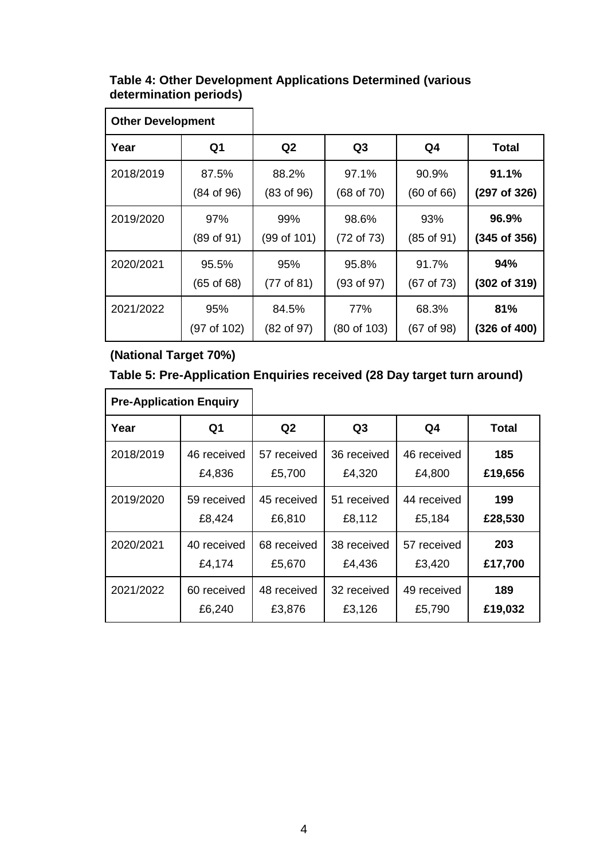## **Table 4: Other Development Applications Determined (various determination periods)**

| <b>Other Development</b> |                       |                       |                |                       |                  |
|--------------------------|-----------------------|-----------------------|----------------|-----------------------|------------------|
| Year                     | Q <sub>1</sub>        | Q <sub>2</sub>        | Q <sub>3</sub> | Q4                    | Total            |
| 2018/2019                | 87.5%                 | 88.2%                 | 97.1%          | 90.9%                 | 91.1%            |
|                          | (84 of 96)            | $(83 \text{ of } 96)$ | $(68$ of $70)$ | $(60 \text{ of } 66)$ | (297 of 326)     |
| 2019/2020                | 97%                   | 99%                   | 98.6%          | 93%                   | 96.9%            |
|                          | (89 of 91)            | (99 of 101)           | (72 of 73)     | $(85$ of 91)          | (345 of 356)     |
| 2020/2021                | 95.5%                 | 95%                   | 95.8%          | 91.7%                 | 94%              |
|                          | $(65 \text{ of } 68)$ | (77 of 81)            | (93 of 97)     | $(67 \text{ of } 73)$ | (302 of 319)     |
| 2021/2022                | 95%                   | 84.5%                 | 77%            | 68.3%                 | 81%              |
|                          | (97 of 102)           | (82 of 97)            | (80 of 103)    | $(67 \text{ of } 98)$ | $(326$ of $400)$ |

# **(National Target 70%)**

## **Table 5: Pre-Application Enquiries received (28 Day target turn around)**

| <b>Pre-Application Enquiry</b> |                |             |             |                |              |
|--------------------------------|----------------|-------------|-------------|----------------|--------------|
| Year                           | Q <sub>1</sub> | Q2          | Q3          | Q <sub>4</sub> | <b>Total</b> |
| 2018/2019                      | 46 received    | 57 received | 36 received | 46 received    | 185          |
|                                | £4,836         | £5,700      | £4,320      | £4,800         | £19,656      |
| 2019/2020                      | 59 received    | 45 received | 51 received | 44 received    | 199          |
|                                | £8,424         | £6,810      | £8,112      | £5,184         | £28,530      |
| 2020/2021                      | 40 received    | 68 received | 38 received | 57 received    | 203          |
|                                | £4,174         | £5,670      | £4,436      | £3,420         | £17,700      |
| 2021/2022                      | 60 received    | 48 received | 32 received | 49 received    | 189          |
|                                | £6,240         | £3,876      | £3,126      | £5,790         | £19,032      |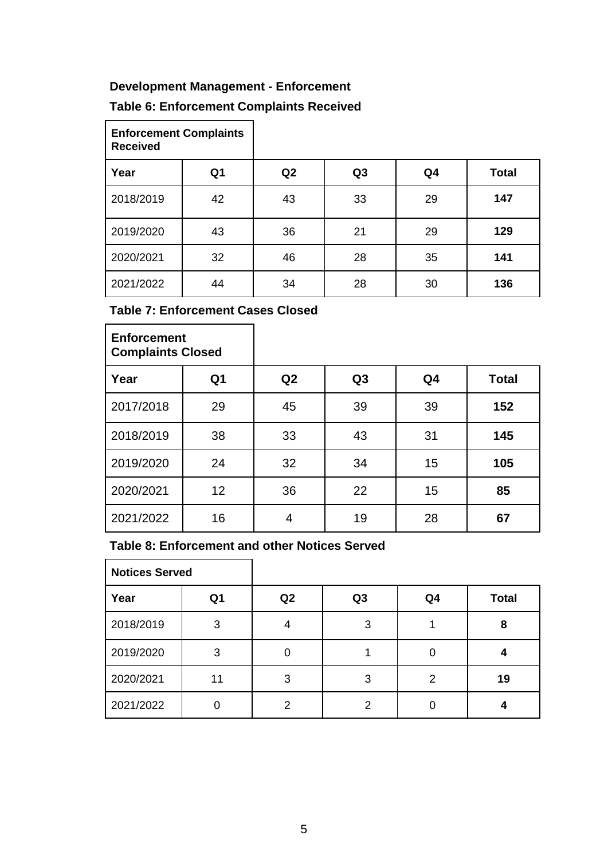## **Development Management - Enforcement**

## **Table 6: Enforcement Complaints Received**

| <b>Enforcement Complaints</b><br><b>Received</b> |                |    |                |                |              |
|--------------------------------------------------|----------------|----|----------------|----------------|--------------|
| Year                                             | Q <sub>1</sub> | Q2 | Q <sub>3</sub> | Q <sub>4</sub> | <b>Total</b> |
| 2018/2019                                        | 42             | 43 | 33             | 29             | 147          |
| 2019/2020                                        | 43             | 36 | 21             | 29             | 129          |
| 2020/2021                                        | 32             | 46 | 28             | 35             | 141          |
| 2021/2022                                        | 44             | 34 | 28             | 30             | 136          |

**Table 7: Enforcement Cases Closed**

| <b>Enforcement</b><br><b>Complaints Closed</b> |                 |    |                |    |              |
|------------------------------------------------|-----------------|----|----------------|----|--------------|
| Year                                           | Q1              | Q2 | Q <sub>3</sub> | Q4 | <b>Total</b> |
| 2017/2018                                      | 29              | 45 | 39             | 39 | 152          |
| 2018/2019                                      | 38              | 33 | 43             | 31 | 145          |
| 2019/2020                                      | 24              | 32 | 34             | 15 | 105          |
| 2020/2021                                      | 12 <sup>2</sup> | 36 | 22             | 15 | 85           |
| 2021/2022                                      | 16              | 4  | 19             | 28 | 67           |

## **Table 8: Enforcement and other Notices Served**

| <b>Notices Served</b> |    |                |                |    |              |
|-----------------------|----|----------------|----------------|----|--------------|
| Year                  | Q1 | Q <sub>2</sub> | Q <sub>3</sub> | Q4 | <b>Total</b> |
| 2018/2019             | 3  |                | 3              |    | 8            |
| 2019/2020             | 3  | 0              |                | 0  |              |
| 2020/2021             | 11 | 3              | 3              | 2  | 19           |
| 2021/2022             |    | 2              | 2              |    |              |